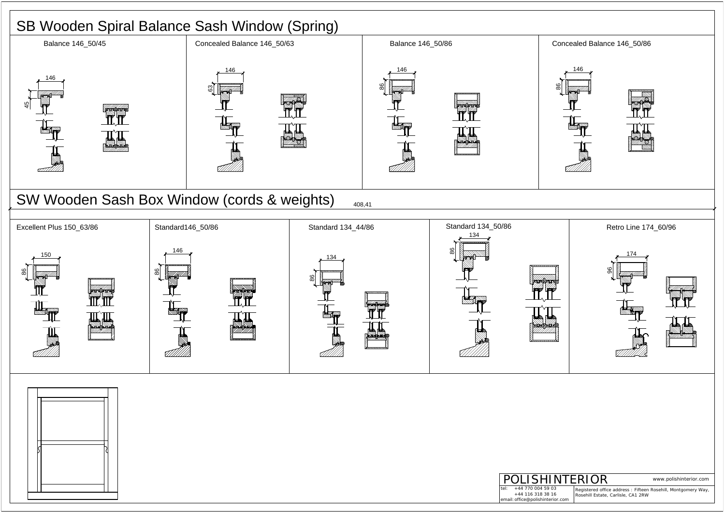

## SW Wooden Sash Box Window (cords & weights)



# SB Wooden Spiral Balance Sash Window (Spring)

| Balance 146_50/45                                     | Concealed Balance 146_50/63 | Balance 146_50/86  |                    |
|-------------------------------------------------------|-----------------------------|--------------------|--------------------|
| 146<br>$\frac{45}{5}$                                 | 146<br>සි                   | 146<br>86          |                    |
| SW Wooden Sash Box Window (cords & weights)<br>408,41 |                             |                    |                    |
|                                                       |                             |                    |                    |
| Excellent Plus 150_63/86                              | Standard146_50/86           | Standard 134_44/86 | Standard 134_50/86 |
| 150<br>86                                             | 146<br>္ထ                   | 134                | 134<br>88          |

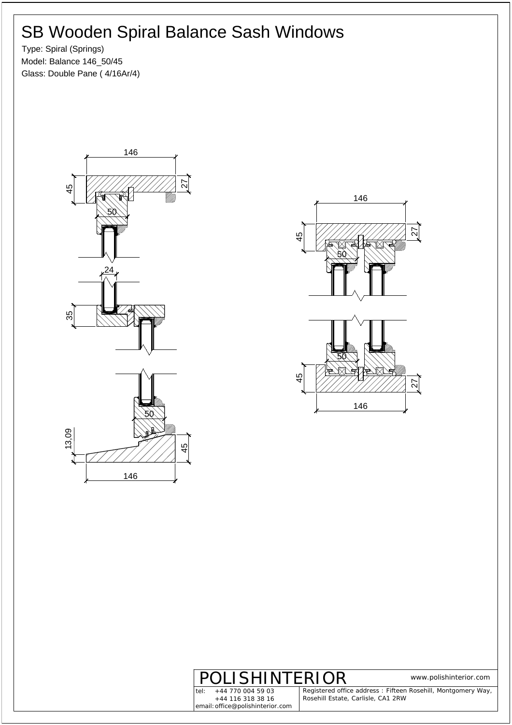## SB Wooden Spiral Balance Sash Windows

Type: Spiral (Springs) Model: Balance 146\_50/45 Glass: Double Pane ( 4/16Ar/4)





### POLISHINTERIOR www.polishinterior.com

tel:  $+44\,770\,004\,59\,03$ +44 116 318 38 16 email:office@polishinterior.com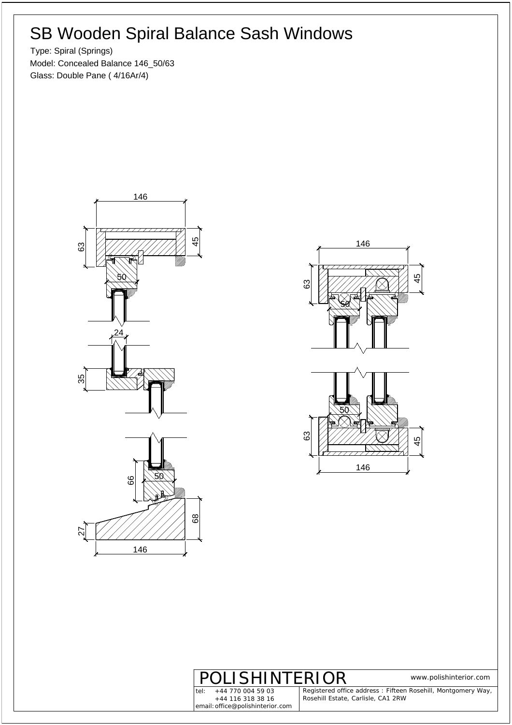### SB Wooden Spiral Balance Sash Windows

Type: Spiral (Springs) Model: Concealed Balance 146\_50/63 Glass: Double Pane ( 4/16Ar/4)



 $\sum_{i=1}^{n}$   $\frac{1}{2}$ 



tel:  $+44\,770\,004\,59\,03$ +44 116 318 38 16 email:office@polishinterior.com

 $\text{ERIOR}$  www.polishinterior.com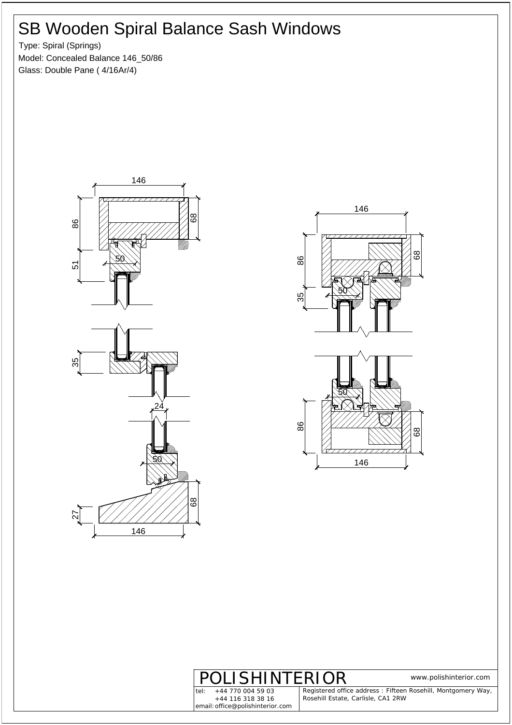## SB Wooden Spiral Balance Sash Windows

Type: Spiral (Springs) Model: Concealed Balance 146\_50/86 Glass: Double Pane ( 4/16Ar/4)





tel:  $+44\,770\,004\,59\,03$ +44 116 318 38 16 email:office@polishinterior.com